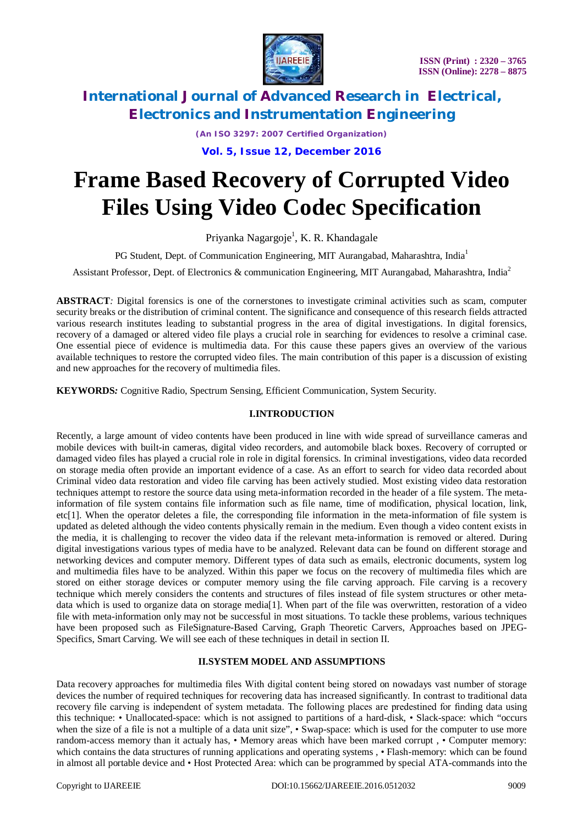

*(An ISO 3297: 2007 Certified Organization)*

**Vol. 5, Issue 12, December 2016**

# **Frame Based Recovery of Corrupted Video Files Using Video Codec Specification**

Priyanka Nagargoje<sup>1</sup>, K. R. Khandagale

PG Student, Dept. of Communication Engineering, MIT Aurangabad, Maharashtra, India<sup>1</sup>

Assistant Professor, Dept. of Electronics & communication Engineering, MIT Aurangabad, Maharashtra, India<sup>2</sup>

**ABSTRACT***:* Digital forensics is one of the cornerstones to investigate criminal activities such as scam, computer security breaks or the distribution of criminal content. The significance and consequence of this research fields attracted various research institutes leading to substantial progress in the area of digital investigations. In digital forensics, recovery of a damaged or altered video file plays a crucial role in searching for evidences to resolve a criminal case. One essential piece of evidence is multimedia data. For this cause these papers gives an overview of the various available techniques to restore the corrupted video files. The main contribution of this paper is a discussion of existing and new approaches for the recovery of multimedia files.

**KEYWORDS***:* Cognitive Radio, Spectrum Sensing, Efficient Communication, System Security.

### **I.INTRODUCTION**

Recently, a large amount of video contents have been produced in line with wide spread of surveillance cameras and mobile devices with built-in cameras, digital video recorders, and automobile black boxes. Recovery of corrupted or damaged video files has played a crucial role in role in digital forensics. In criminal investigations, video data recorded on storage media often provide an important evidence of a case. As an effort to search for video data recorded about Criminal video data restoration and video file carving has been actively studied. Most existing video data restoration techniques attempt to restore the source data using meta-information recorded in the header of a file system. The metainformation of file system contains file information such as file name, time of modification, physical location, link, etc[1]. When the operator deletes a file, the corresponding file information in the meta-information of file system is updated as deleted although the video contents physically remain in the medium. Even though a video content exists in the media, it is challenging to recover the video data if the relevant meta-information is removed or altered. During digital investigations various types of media have to be analyzed. Relevant data can be found on different storage and networking devices and computer memory. Different types of data such as emails, electronic documents, system log and multimedia files have to be analyzed. Within this paper we focus on the recovery of multimedia files which are stored on either storage devices or computer memory using the file carving approach. File carving is a recovery technique which merely considers the contents and structures of files instead of file system structures or other metadata which is used to organize data on storage media[1]. When part of the file was overwritten, restoration of a video file with meta-information only may not be successful in most situations. To tackle these problems, various techniques have been proposed such as FileSignature-Based Carving, Graph Theoretic Carvers, Approaches based on JPEG-Specifics, Smart Carving. We will see each of these techniques in detail in section II.

### **II.SYSTEM MODEL AND ASSUMPTIONS**

Data recovery approaches for multimedia files With digital content being stored on nowadays vast number of storage devices the number of required techniques for recovering data has increased significantly. In contrast to traditional data recovery file carving is independent of system metadata. The following places are predestined for finding data using this technique: • Unallocated-space: which is not assigned to partitions of a hard-disk, • Slack-space: which "occurs when the size of a file is not a multiple of a data unit size", • Swap-space: which is used for the computer to use more random-access memory than it actualy has, • Memory areas which have been marked corrupt , • Computer memory: which contains the data structures of running applications and operating systems, • Flash-memory: which can be found in almost all portable device and • Host Protected Area: which can be programmed by special ATA-commands into the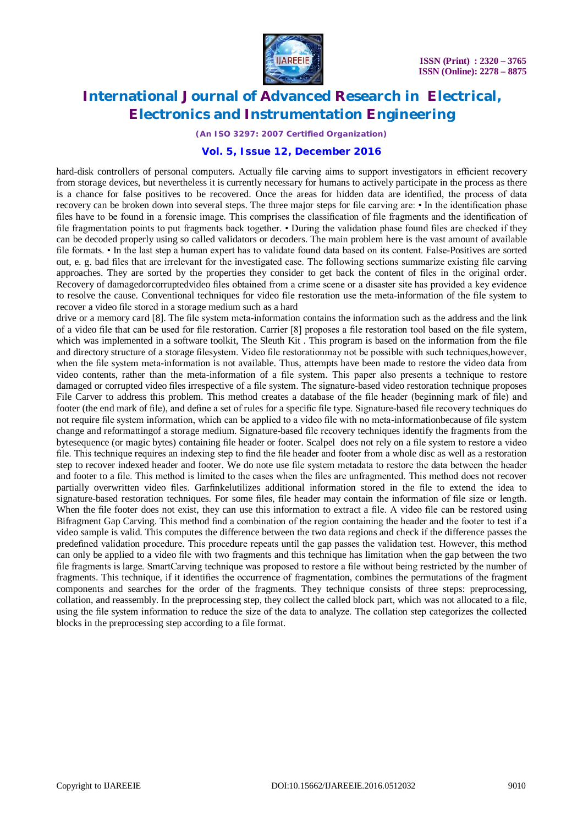

*(An ISO 3297: 2007 Certified Organization)*

#### **Vol. 5, Issue 12, December 2016**

hard-disk controllers of personal computers. Actually file carving aims to support investigators in efficient recovery from storage devices, but nevertheless it is currently necessary for humans to actively participate in the process as there is a chance for false positives to be recovered. Once the areas for hidden data are identified, the process of data recovery can be broken down into several steps. The three major steps for file carving are: • In the identification phase files have to be found in a forensic image. This comprises the classification of file fragments and the identification of file fragmentation points to put fragments back together. • During the validation phase found files are checked if they can be decoded properly using so called validators or decoders. The main problem here is the vast amount of available file formats. • In the last step a human expert has to validate found data based on its content. False-Positives are sorted out, e. g. bad files that are irrelevant for the investigated case. The following sections summarize existing file carving approaches. They are sorted by the properties they consider to get back the content of files in the original order. Recovery of damagedorcorruptedvideo files obtained from a crime scene or a disaster site has provided a key evidence to resolve the cause. Conventional techniques for video file restoration use the meta-information of the file system to recover a video file stored in a storage medium such as a hard

drive or a memory card [8]. The file system meta-information contains the information such as the address and the link of a video file that can be used for file restoration. Carrier [8] proposes a file restoration tool based on the file system, which was implemented in a software toolkit. The Sleuth Kit. This program is based on the information from the file and directory structure of a storage filesystem. Video file restorationmay not be possible with such techniques,however, when the file system meta-information is not available. Thus, attempts have been made to restore the video data from video contents, rather than the meta-information of a file system. This paper also presents a technique to restore damaged or corrupted video files irrespective of a file system. The signature-based video restoration technique proposes File Carver to address this problem. This method creates a database of the file header (beginning mark of file) and footer (the end mark of file), and define a set of rules for a specific file type. Signature-based file recovery techniques do not require file system information, which can be applied to a video file with no meta-informationbecause of file system change and reformattingof a storage medium. Signature-based file recovery techniques identify the fragments from the bytesequence (or magic bytes) containing file header or footer. Scalpel does not rely on a file system to restore a video file. This technique requires an indexing step to find the file header and footer from a whole disc as well as a restoration step to recover indexed header and footer. We do note use file system metadata to restore the data between the header and footer to a file. This method is limited to the cases when the files are unfragmented. This method does not recover partially overwritten video files. Garfinkelutilizes additional information stored in the file to extend the idea to signature-based restoration techniques. For some files, file header may contain the information of file size or length. When the file footer does not exist, they can use this information to extract a file. A video file can be restored using Bifragment Gap Carving. This method find a combination of the region containing the header and the footer to test if a video sample is valid. This computes the difference between the two data regions and check if the difference passes the predefined validation procedure. This procedure repeats until the gap passes the validation test. However, this method can only be applied to a video file with two fragments and this technique has limitation when the gap between the two file fragments is large. SmartCarving technique was proposed to restore a file without being restricted by the number of fragments. This technique, if it identifies the occurrence of fragmentation, combines the permutations of the fragment components and searches for the order of the fragments. They technique consists of three steps: preprocessing, collation, and reassembly. In the preprocessing step, they collect the called block part, which was not allocated to a file, using the file system information to reduce the size of the data to analyze. The collation step categorizes the collected blocks in the preprocessing step according to a file format.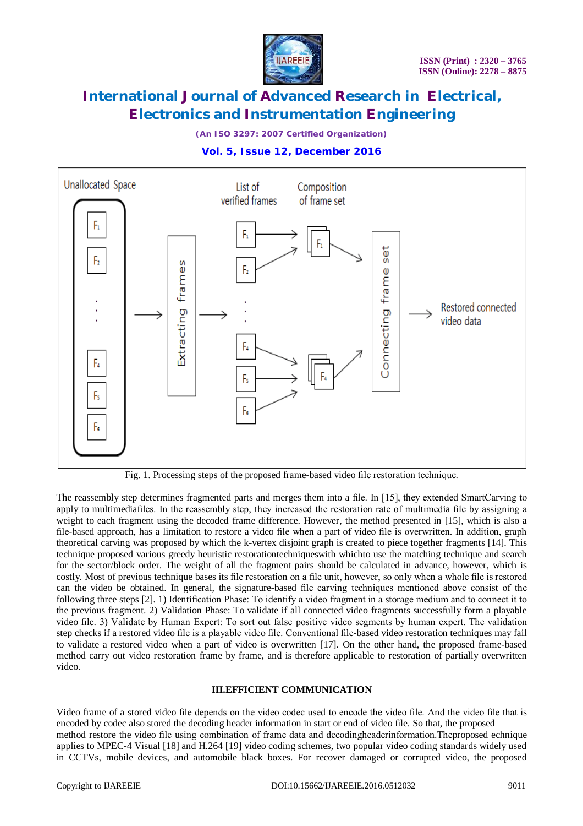

*(An ISO 3297: 2007 Certified Organization)*



### **Vol. 5, Issue 12, December 2016**

Fig. 1. Processing steps of the proposed frame-based video file restoration technique.

The reassembly step determines fragmented parts and merges them into a file. In [15], they extended SmartCarving to apply to multimediafiles. In the reassembly step, they increased the restoration rate of multimedia file by assigning a weight to each fragment using the decoded frame difference. However, the method presented in [15], which is also a file-based approach, has a limitation to restore a video file when a part of video file is overwritten. In addition, graph theoretical carving was proposed by which the k-vertex disjoint graph is created to piece together fragments [14]. This technique proposed various greedy heuristic restorationtechniqueswith whichto use the matching technique and search for the sector/block order. The weight of all the fragment pairs should be calculated in advance, however, which is costly. Most of previous technique bases its file restoration on a file unit, however, so only when a whole file is restored can the video be obtained. In general, the signature-based file carving techniques mentioned above consist of the following three steps [2]. 1) Identification Phase: To identify a video fragment in a storage medium and to connect it to the previous fragment. 2) Validation Phase: To validate if all connected video fragments successfully form a playable video file. 3) Validate by Human Expert: To sort out false positive video segments by human expert. The validation step checks if a restored video file is a playable video file. Conventional file-based video restoration techniques may fail to validate a restored video when a part of video is overwritten [17]. On the other hand, the proposed frame-based method carry out video restoration frame by frame, and is therefore applicable to restoration of partially overwritten video.

#### **III.EFFICIENT COMMUNICATION**

Video frame of a stored video file depends on the video codec used to encode the video file. And the video file that is encoded by codec also stored the decoding header information in start or end of video file. So that, the proposed method restore the video file using combination of frame data and decodingheaderinformation.Theproposed echnique applies to MPEC-4 Visual [18] and H.264 [19] video coding schemes, two popular video coding standards widely used in CCTVs, mobile devices, and automobile black boxes. For recover damaged or corrupted video, the proposed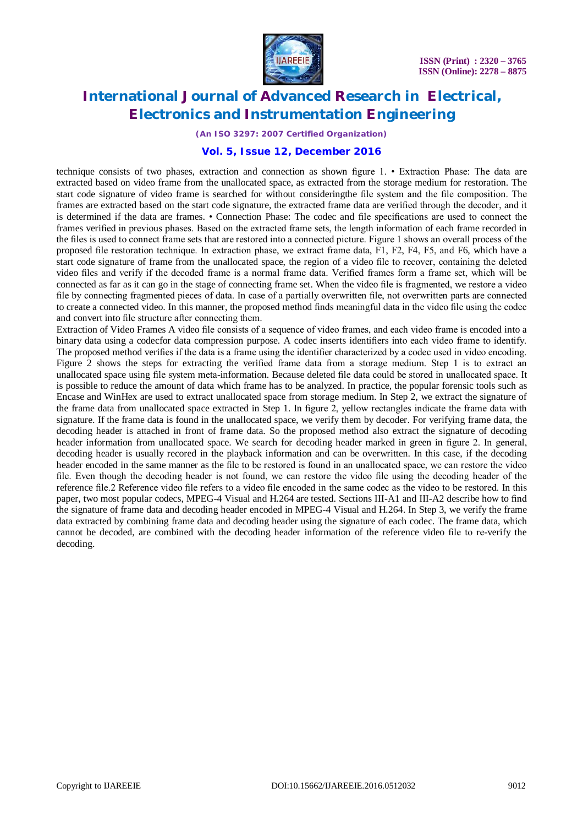

*(An ISO 3297: 2007 Certified Organization)*

#### **Vol. 5, Issue 12, December 2016**

technique consists of two phases, extraction and connection as shown figure 1. • Extraction Phase: The data are extracted based on video frame from the unallocated space, as extracted from the storage medium for restoration. The start code signature of video frame is searched for without consideringthe file system and the file composition. The frames are extracted based on the start code signature, the extracted frame data are verified through the decoder, and it is determined if the data are frames. • Connection Phase: The codec and file specifications are used to connect the frames verified in previous phases. Based on the extracted frame sets, the length information of each frame recorded in the files is used to connect frame sets that are restored into a connected picture. Figure 1 shows an overall process of the proposed file restoration technique. In extraction phase, we extract frame data, F1, F2, F4, F5, and F6, which have a start code signature of frame from the unallocated space, the region of a video file to recover, containing the deleted video files and verify if the decoded frame is a normal frame data. Verified frames form a frame set, which will be connected as far as it can go in the stage of connecting frame set. When the video file is fragmented, we restore a video file by connecting fragmented pieces of data. In case of a partially overwritten file, not overwritten parts are connected to create a connected video. In this manner, the proposed method finds meaningful data in the video file using the codec and convert into file structure after connecting them.

Extraction of Video Frames A video file consists of a sequence of video frames, and each video frame is encoded into a binary data using a codecfor data compression purpose. A codec inserts identifiers into each video frame to identify. The proposed method verifies if the data is a frame using the identifier characterized by a codec used in video encoding. Figure 2 shows the steps for extracting the verified frame data from a storage medium. Step 1 is to extract an unallocated space using file system meta-information. Because deleted file data could be stored in unallocated space. It is possible to reduce the amount of data which frame has to be analyzed. In practice, the popular forensic tools such as Encase and WinHex are used to extract unallocated space from storage medium. In Step 2, we extract the signature of the frame data from unallocated space extracted in Step 1. In figure 2, yellow rectangles indicate the frame data with signature. If the frame data is found in the unallocated space, we verify them by decoder. For verifying frame data, the decoding header is attached in front of frame data. So the proposed method also extract the signature of decoding header information from unallocated space. We search for decoding header marked in green in figure 2. In general, decoding header is usually recored in the playback information and can be overwritten. In this case, if the decoding header encoded in the same manner as the file to be restored is found in an unallocated space, we can restore the video file. Even though the decoding header is not found, we can restore the video file using the decoding header of the reference file.2 Reference video file refers to a video file encoded in the same codec as the video to be restored. In this paper, two most popular codecs, MPEG-4 Visual and H.264 are tested. Sections III-A1 and III-A2 describe how to find the signature of frame data and decoding header encoded in MPEG-4 Visual and H.264. In Step 3, we verify the frame data extracted by combining frame data and decoding header using the signature of each codec. The frame data, which cannot be decoded, are combined with the decoding header information of the reference video file to re-verify the decoding.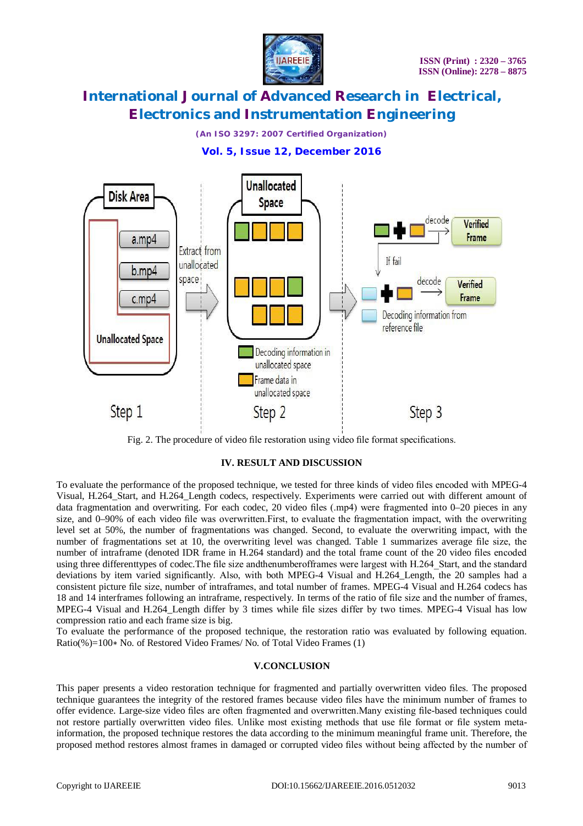

*(An ISO 3297: 2007 Certified Organization)*

**Vol. 5, Issue 12, December 2016**



Fig. 2. The procedure of video file restoration using video file format specifications.

### **IV. RESULT AND DISCUSSION**

To evaluate the performance of the proposed technique, we tested for three kinds of video files encoded with MPEG-4 Visual, H.264\_Start, and H.264\_Length codecs, respectively. Experiments were carried out with different amount of data fragmentation and overwriting. For each codec, 20 video files (.mp4) were fragmented into 0-20 pieces in any size, and 0–90% of each video file was overwritten.First, to evaluate the fragmentation impact, with the overwriting level set at 50%, the number of fragmentations was changed. Second, to evaluate the overwriting impact, with the number of fragmentations set at 10, the overwriting level was changed. Table 1 summarizes average file size, the number of intraframe (denoted IDR frame in H.264 standard) and the total frame count of the 20 video files encoded using three differenttypes of codec.The file size andthenumberofframes were largest with H.264\_Start, and the standard deviations by item varied significantly. Also, with both MPEG-4 Visual and H.264\_Length, the 20 samples had a consistent picture file size, number of intraframes, and total number of frames. MPEG-4 Visual and H.264 codecs has 18 and 14 interframes following an intraframe, respectively. In terms of the ratio of file size and the number of frames, MPEG-4 Visual and H.264\_Length differ by 3 times while file sizes differ by two times. MPEG-4 Visual has low compression ratio and each frame size is big.

To evaluate the performance of the proposed technique, the restoration ratio was evaluated by following equation. Ratio(%)=100∗ No. of Restored Video Frames/ No. of Total Video Frames (1)

#### **V.CONCLUSION**

This paper presents a video restoration technique for fragmented and partially overwritten video files. The proposed technique guarantees the integrity of the restored frames because video files have the minimum number of frames to offer evidence. Large-size video files are often fragmented and overwritten.Many existing file-based techniques could not restore partially overwritten video files. Unlike most existing methods that use file format or file system metainformation, the proposed technique restores the data according to the minimum meaningful frame unit. Therefore, the proposed method restores almost frames in damaged or corrupted video files without being affected by the number of